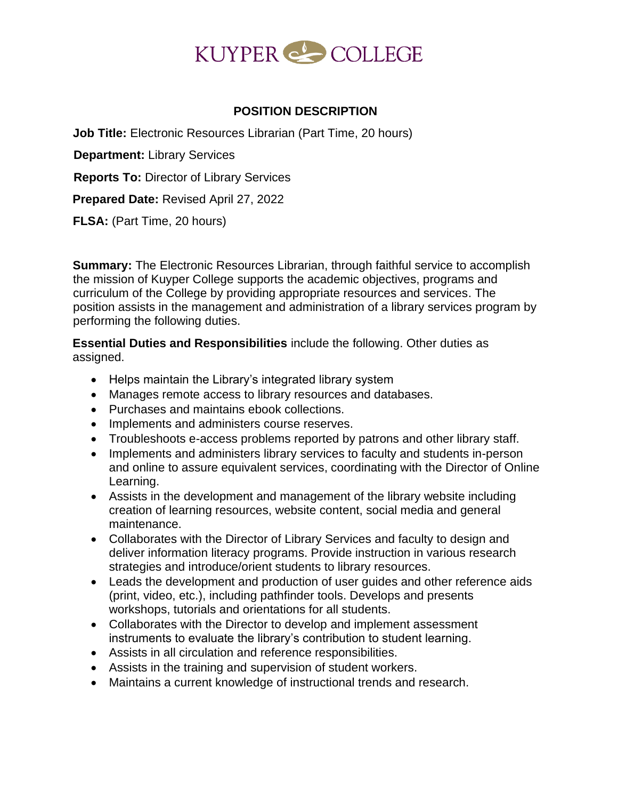

# **POSITION DESCRIPTION**

**Job Title:** Electronic Resources Librarian (Part Time, 20 hours)

**Department:** Library Services

**Reports To:** Director of Library Services

**Prepared Date:** Revised April 27, 2022

**FLSA:** (Part Time, 20 hours)

**Summary:** The Electronic Resources Librarian, through faithful service to accomplish the mission of Kuyper College supports the academic objectives, programs and curriculum of the College by providing appropriate resources and services. The position assists in the management and administration of a library services program by performing the following duties.

**Essential Duties and Responsibilities** include the following. Other duties as assigned.

- Helps maintain the Library's integrated library system
- Manages remote access to library resources and databases.
- Purchases and maintains ebook collections.
- Implements and administers course reserves.
- Troubleshoots e-access problems reported by patrons and other library staff.
- Implements and administers library services to faculty and students in-person and online to assure equivalent services, coordinating with the Director of Online Learning.
- Assists in the development and management of the library website including creation of learning resources, website content, social media and general maintenance.
- Collaborates with the Director of Library Services and faculty to design and deliver information literacy programs. Provide instruction in various research strategies and introduce/orient students to library resources.
- Leads the development and production of user guides and other reference aids (print, video, etc.), including pathfinder tools. Develops and presents workshops, tutorials and orientations for all students.
- Collaborates with the Director to develop and implement assessment instruments to evaluate the library's contribution to student learning.
- Assists in all circulation and reference responsibilities.
- Assists in the training and supervision of student workers.
- Maintains a current knowledge of instructional trends and research.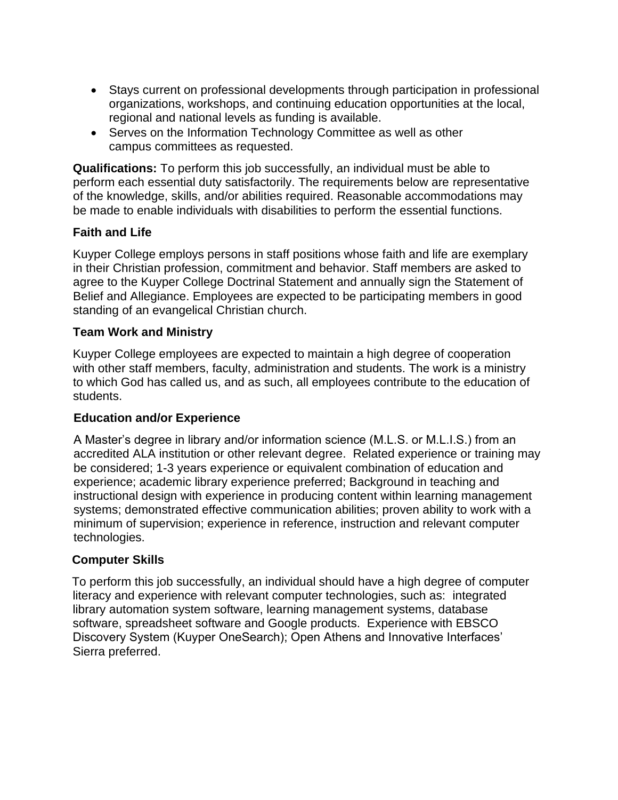- Stays current on professional developments through participation in professional organizations, workshops, and continuing education opportunities at the local, regional and national levels as funding is available.
- Serves on the Information Technology Committee as well as other campus committees as requested.

**Qualifications:** To perform this job successfully, an individual must be able to perform each essential duty satisfactorily. The requirements below are representative of the knowledge, skills, and/or abilities required. Reasonable accommodations may be made to enable individuals with disabilities to perform the essential functions.

# **Faith and Life**

Kuyper College employs persons in staff positions whose faith and life are exemplary in their Christian profession, commitment and behavior. Staff members are asked to agree to the Kuyper College Doctrinal Statement and annually sign the Statement of Belief and Allegiance. Employees are expected to be participating members in good standing of an evangelical Christian church.

# **Team Work and Ministry**

Kuyper College employees are expected to maintain a high degree of cooperation with other staff members, faculty, administration and students. The work is a ministry to which God has called us, and as such, all employees contribute to the education of students.

## **Education and/or Experience**

A Master's degree in library and/or information science (M.L.S. or M.L.I.S.) from an accredited ALA institution or other relevant degree. Related experience or training may be considered; 1-3 years experience or equivalent combination of education and experience; academic library experience preferred; Background in teaching and instructional design with experience in producing content within learning management systems; demonstrated effective communication abilities; proven ability to work with a minimum of supervision; experience in reference, instruction and relevant computer technologies.

# **Computer Skills**

To perform this job successfully, an individual should have a high degree of computer literacy and experience with relevant computer technologies, such as: integrated library automation system software, learning management systems, database software, spreadsheet software and Google products. Experience with EBSCO Discovery System (Kuyper OneSearch); Open Athens and Innovative Interfaces' Sierra preferred.